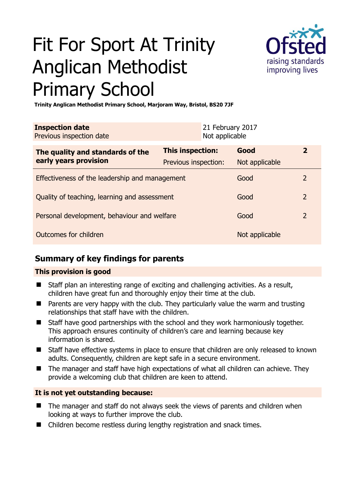# Fit For Sport At Trinity Anglican Methodist Primary School



**Trinity Anglican Methodist Primary School, Marjoram Way, Bristol, BS20 7JF** 

| <b>Inspection date</b><br>Previous inspection date        | 21 February 2017<br>Not applicable |      |                |                |
|-----------------------------------------------------------|------------------------------------|------|----------------|----------------|
| The quality and standards of the<br>early years provision | <b>This inspection:</b>            | Good |                | $\mathbf{2}$   |
|                                                           | Previous inspection:               |      | Not applicable |                |
| Effectiveness of the leadership and management            |                                    | Good |                | $\overline{2}$ |
| Quality of teaching, learning and assessment              |                                    | Good |                | $\overline{2}$ |
| Personal development, behaviour and welfare               |                                    | Good |                | $\overline{2}$ |
| Outcomes for children                                     |                                    |      | Not applicable |                |

## **Summary of key findings for parents**

## **This provision is good**

- Staff plan an interesting range of exciting and challenging activities. As a result, children have great fun and thoroughly enjoy their time at the club.
- **Parents are very happy with the club. They particularly value the warm and trusting** relationships that staff have with the children.
- Staff have good partnerships with the school and they work harmoniously together. This approach ensures continuity of children's care and learning because key information is shared.
- Staff have effective systems in place to ensure that children are only released to known adults. Consequently, children are kept safe in a secure environment.
- The manager and staff have high expectations of what all children can achieve. They provide a welcoming club that children are keen to attend.

## **It is not yet outstanding because:**

- The manager and staff do not always seek the views of parents and children when looking at ways to further improve the club.
- Children become restless during lengthy registration and snack times.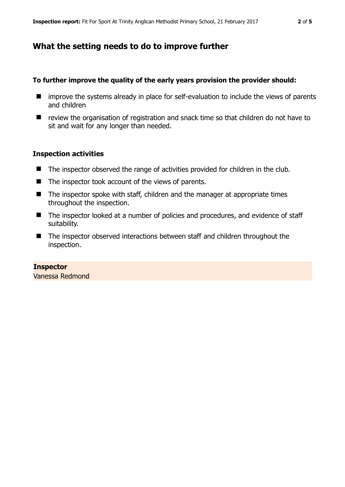## **What the setting needs to do to improve further**

#### **To further improve the quality of the early years provision the provider should:**

- $\blacksquare$  improve the systems already in place for self-evaluation to include the views of parents and children
- review the organisation of registration and snack time so that children do not have to sit and wait for any longer than needed.

#### **Inspection activities**

- The inspector observed the range of activities provided for children in the club.
- The inspector took account of the views of parents.
- $\blacksquare$  The inspector spoke with staff, children and the manager at appropriate times throughout the inspection.
- The inspector looked at a number of policies and procedures, and evidence of staff suitability.
- The inspector observed interactions between staff and children throughout the inspection.

#### **Inspector**

Vanessa Redmond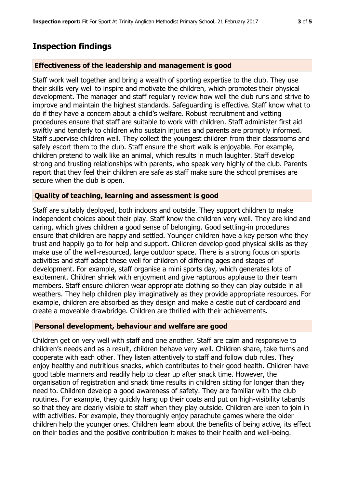## **Inspection findings**

#### **Effectiveness of the leadership and management is good**

Staff work well together and bring a wealth of sporting expertise to the club. They use their skills very well to inspire and motivate the children, which promotes their physical development. The manager and staff regularly review how well the club runs and strive to improve and maintain the highest standards. Safeguarding is effective. Staff know what to do if they have a concern about a child's welfare. Robust recruitment and vetting procedures ensure that staff are suitable to work with children. Staff administer first aid swiftly and tenderly to children who sustain injuries and parents are promptly informed. Staff supervise children well. They collect the youngest children from their classrooms and safely escort them to the club. Staff ensure the short walk is enjoyable. For example, children pretend to walk like an animal, which results in much laughter. Staff develop strong and trusting relationships with parents, who speak very highly of the club. Parents report that they feel their children are safe as staff make sure the school premises are secure when the club is open.

#### **Quality of teaching, learning and assessment is good**

Staff are suitably deployed, both indoors and outside. They support children to make independent choices about their play. Staff know the children very well. They are kind and caring, which gives children a good sense of belonging. Good settling-in procedures ensure that children are happy and settled. Younger children have a key person who they trust and happily go to for help and support. Children develop good physical skills as they make use of the well-resourced, large outdoor space. There is a strong focus on sports activities and staff adapt these well for children of differing ages and stages of development. For example, staff organise a mini sports day, which generates lots of excitement. Children shriek with enjoyment and give rapturous applause to their team members. Staff ensure children wear appropriate clothing so they can play outside in all weathers. They help children play imaginatively as they provide appropriate resources. For example, children are absorbed as they design and make a castle out of cardboard and create a moveable drawbridge. Children are thrilled with their achievements.

#### **Personal development, behaviour and welfare are good**

Children get on very well with staff and one another. Staff are calm and responsive to children's needs and as a result, children behave very well. Children share, take turns and cooperate with each other. They listen attentively to staff and follow club rules. They enjoy healthy and nutritious snacks, which contributes to their good health. Children have good table manners and readily help to clear up after snack time. However, the organisation of registration and snack time results in children sitting for longer than they need to. Children develop a good awareness of safety. They are familiar with the club routines. For example, they quickly hang up their coats and put on high-visibility tabards so that they are clearly visible to staff when they play outside. Children are keen to join in with activities. For example, they thoroughly enjoy parachute games where the older children help the younger ones. Children learn about the benefits of being active, its effect on their bodies and the positive contribution it makes to their health and well-being.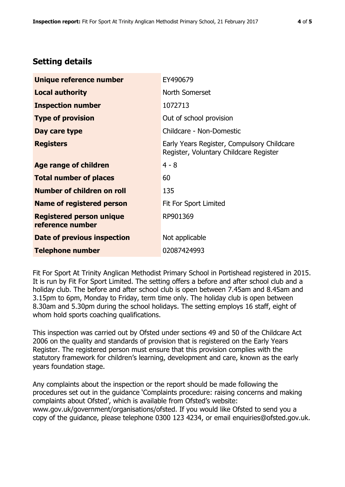# **Setting details**

| Unique reference number                             | EY490679                                                                             |  |
|-----------------------------------------------------|--------------------------------------------------------------------------------------|--|
| <b>Local authority</b>                              | North Somerset                                                                       |  |
| <b>Inspection number</b>                            | 1072713                                                                              |  |
| <b>Type of provision</b>                            | Out of school provision                                                              |  |
| Day care type                                       | Childcare - Non-Domestic                                                             |  |
| <b>Registers</b>                                    | Early Years Register, Compulsory Childcare<br>Register, Voluntary Childcare Register |  |
| Age range of children                               | $4 - 8$                                                                              |  |
| <b>Total number of places</b>                       | 60                                                                                   |  |
| Number of children on roll                          | 135                                                                                  |  |
| Name of registered person                           | Fit For Sport Limited                                                                |  |
| <b>Registered person unique</b><br>reference number | RP901369                                                                             |  |
| <b>Date of previous inspection</b>                  | Not applicable                                                                       |  |
| <b>Telephone number</b>                             | 02087424993                                                                          |  |

Fit For Sport At Trinity Anglican Methodist Primary School in Portishead registered in 2015. It is run by Fit For Sport Limited. The setting offers a before and after school club and a holiday club. The before and after school club is open between 7.45am and 8.45am and 3.15pm to 6pm, Monday to Friday, term time only. The holiday club is open between 8.30am and 5.30pm during the school holidays. The setting employs 16 staff, eight of whom hold sports coaching qualifications.

This inspection was carried out by Ofsted under sections 49 and 50 of the Childcare Act 2006 on the quality and standards of provision that is registered on the Early Years Register. The registered person must ensure that this provision complies with the statutory framework for children's learning, development and care, known as the early years foundation stage.

Any complaints about the inspection or the report should be made following the procedures set out in the guidance 'Complaints procedure: raising concerns and making complaints about Ofsted', which is available from Ofsted's website: www.gov.uk/government/organisations/ofsted. If you would like Ofsted to send you a copy of the guidance, please telephone 0300 123 4234, or email enquiries@ofsted.gov.uk.